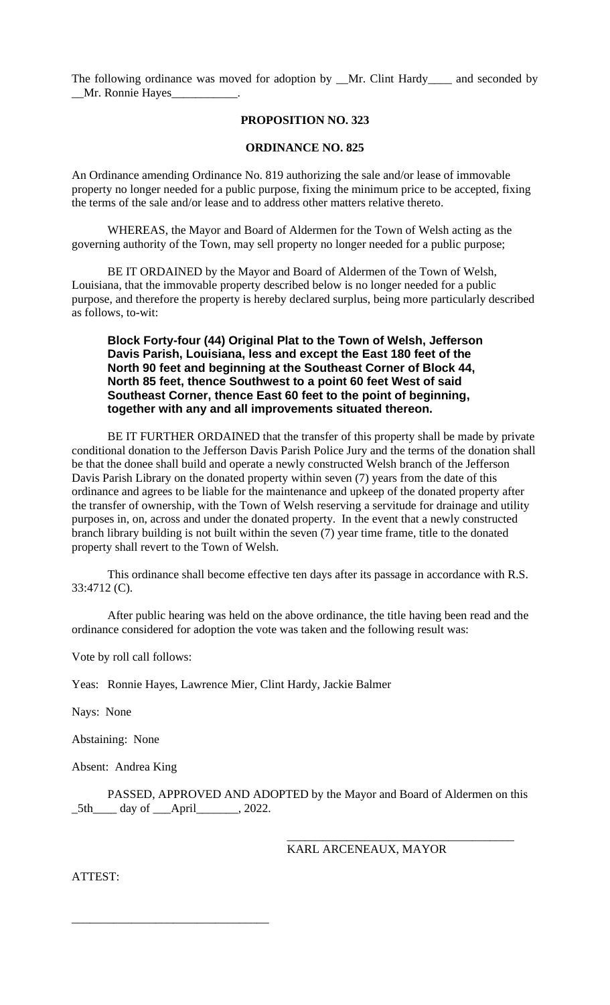The following ordinance was moved for adoption by \_\_Mr. Clint Hardy\_\_\_\_ and seconded by \_\_Mr. Ronnie Hayes\_\_\_\_\_\_\_\_\_\_\_.

#### **PROPOSITION NO. 323**

#### **ORDINANCE NO. 825**

An Ordinance amending Ordinance No. 819 authorizing the sale and/or lease of immovable property no longer needed for a public purpose, fixing the minimum price to be accepted, fixing the terms of the sale and/or lease and to address other matters relative thereto.

WHEREAS, the Mayor and Board of Aldermen for the Town of Welsh acting as the governing authority of the Town, may sell property no longer needed for a public purpose;

BE IT ORDAINED by the Mayor and Board of Aldermen of the Town of Welsh, Louisiana, that the immovable property described below is no longer needed for a public purpose, and therefore the property is hereby declared surplus, being more particularly described as follows, to-wit:

### **Block Forty-four (44) Original Plat to the Town of Welsh, Jefferson Davis Parish, Louisiana, less and except the East 180 feet of the North 90 feet and beginning at the Southeast Corner of Block 44, North 85 feet, thence Southwest to a point 60 feet West of said Southeast Corner, thence East 60 feet to the point of beginning, together with any and all improvements situated thereon.**

BE IT FURTHER ORDAINED that the transfer of this property shall be made by private conditional donation to the Jefferson Davis Parish Police Jury and the terms of the donation shall be that the donee shall build and operate a newly constructed Welsh branch of the Jefferson Davis Parish Library on the donated property within seven (7) years from the date of this ordinance and agrees to be liable for the maintenance and upkeep of the donated property after the transfer of ownership, with the Town of Welsh reserving a servitude for drainage and utility purposes in, on, across and under the donated property. In the event that a newly constructed branch library building is not built within the seven (7) year time frame, title to the donated property shall revert to the Town of Welsh.

This ordinance shall become effective ten days after its passage in accordance with R.S. 33:4712 (C).

After public hearing was held on the above ordinance, the title having been read and the ordinance considered for adoption the vote was taken and the following result was:

Vote by roll call follows:

Yeas: Ronnie Hayes, Lawrence Mier, Clint Hardy, Jackie Balmer

Nays: None

Abstaining: None

Absent: Andrea King

\_\_\_\_\_\_\_\_\_\_\_\_\_\_\_\_\_\_\_\_\_\_\_\_\_\_\_\_\_\_\_\_\_

PASSED, APPROVED AND ADOPTED by the Mayor and Board of Aldermen on this \_5th\_\_\_\_ day of \_\_\_April\_\_\_\_\_\_\_, 2022.

KARL ARCENEAUX, MAYOR

\_\_\_\_\_\_\_\_\_\_\_\_\_\_\_\_\_\_\_\_\_\_\_\_\_\_\_\_\_\_\_\_\_\_\_\_\_\_

ATTEST: